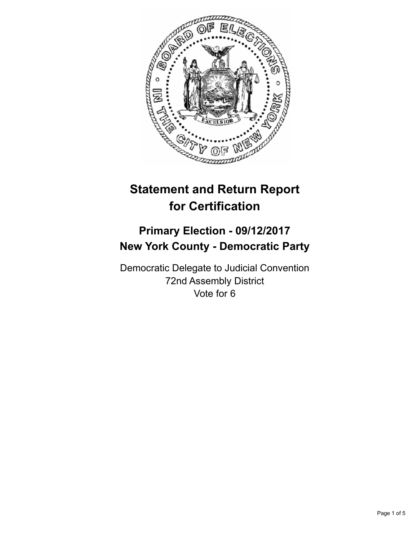

# **Statement and Return Report for Certification**

## **Primary Election - 09/12/2017 New York County - Democratic Party**

Democratic Delegate to Judicial Convention 72nd Assembly District Vote for 6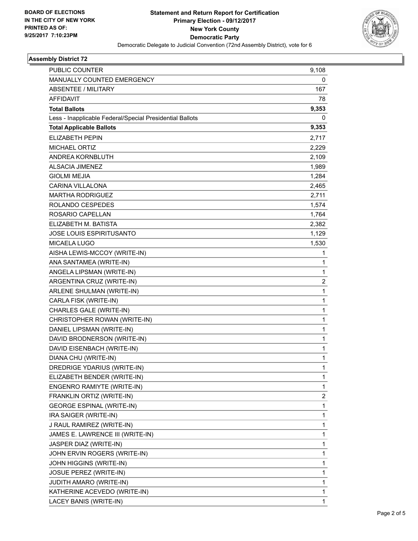

### **Assembly District 72**

| <b>PUBLIC COUNTER</b>                                    | 9,108        |
|----------------------------------------------------------|--------------|
| MANUALLY COUNTED EMERGENCY                               | 0            |
| ABSENTEE / MILITARY                                      | 167          |
| <b>AFFIDAVIT</b>                                         | 78           |
| <b>Total Ballots</b>                                     | 9,353        |
| Less - Inapplicable Federal/Special Presidential Ballots | 0            |
| <b>Total Applicable Ballots</b>                          | 9,353        |
| ELIZABETH PEPIN                                          | 2,717        |
| <b>MICHAEL ORTIZ</b>                                     | 2,229        |
| ANDREA KORNBLUTH                                         | 2,109        |
| <b>ALSACIA JIMENEZ</b>                                   | 1,989        |
| <b>GIOLMI MEJIA</b>                                      | 1,284        |
| <b>CARINA VILLALONA</b>                                  | 2,465        |
| <b>MARTHA RODRIGUEZ</b>                                  | 2,711        |
| ROLANDO CESPEDES                                         | 1,574        |
| ROSARIO CAPELLAN                                         | 1,764        |
| ELIZABETH M. BATISTA                                     | 2,382        |
| <b>JOSE LOUIS ESPIRITUSANTO</b>                          | 1,129        |
| <b>MICAELA LUGO</b>                                      | 1,530        |
| AISHA LEWIS-MCCOY (WRITE-IN)                             | 1            |
| ANA SANTAMEA (WRITE-IN)                                  | $\mathbf{1}$ |
| ANGELA LIPSMAN (WRITE-IN)                                | 1            |
| ARGENTINA CRUZ (WRITE-IN)                                | 2            |
| ARLENE SHULMAN (WRITE-IN)                                | $\mathbf{1}$ |
| CARLA FISK (WRITE-IN)                                    | 1            |
| CHARLES GALE (WRITE-IN)                                  | 1            |
| CHRISTOPHER ROWAN (WRITE-IN)                             | $\mathbf{1}$ |
| DANIEL LIPSMAN (WRITE-IN)                                | 1            |
| DAVID BRODNERSON (WRITE-IN)                              | 1            |
| DAVID EISENBACH (WRITE-IN)                               | $\mathbf{1}$ |
| DIANA CHU (WRITE-IN)                                     | 1            |
| DREDRIGE YDARIUS (WRITE-IN)                              | 1            |
| ELIZABETH BENDER (WRITE-IN)                              | 1            |
| ENGENRO RAMIYTE (WRITE-IN)                               | 1            |
| FRANKLIN ORTIZ (WRITE-IN)                                | 2            |
| <b>GEORGE ESPINAL (WRITE-IN)</b>                         | 1            |
| IRA SAIGER (WRITE-IN)                                    | 1            |
| J RAUL RAMIREZ (WRITE-IN)                                | 1            |
| JAMES E. LAWRENCE III (WRITE-IN)                         | 1            |
| JASPER DIAZ (WRITE-IN)                                   | 1            |
| JOHN ERVIN ROGERS (WRITE-IN)                             | 1            |
| JOHN HIGGINS (WRITE-IN)                                  | 1            |
| JOSUE PEREZ (WRITE-IN)                                   | 1            |
| <b>JUDITH AMARO (WRITE-IN)</b>                           | 1            |
| KATHERINE ACEVEDO (WRITE-IN)                             | 1            |
| LACEY BANIS (WRITE-IN)                                   | 1            |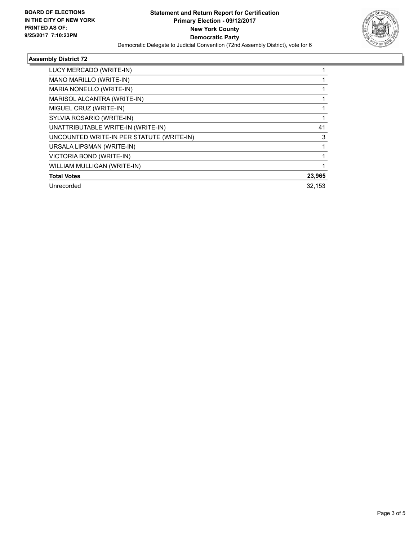

٠

### **Assembly District 72**

| LUCY MERCADO (WRITE-IN)                   |        |
|-------------------------------------------|--------|
| MANO MARILLO (WRITE-IN)                   |        |
| MARIA NONELLO (WRITE-IN)                  |        |
| MARISOL ALCANTRA (WRITE-IN)               |        |
| MIGUEL CRUZ (WRITE-IN)                    |        |
| SYLVIA ROSARIO (WRITE-IN)                 |        |
| UNATTRIBUTABLE WRITE-IN (WRITE-IN)        | 41     |
| UNCOUNTED WRITE-IN PER STATUTE (WRITE-IN) | 3      |
| URSALA LIPSMAN (WRITE-IN)                 |        |
| VICTORIA BOND (WRITE-IN)                  |        |
| WILLIAM MULLIGAN (WRITE-IN)               |        |
| <b>Total Votes</b>                        | 23,965 |
| Unrecorded                                | 32.153 |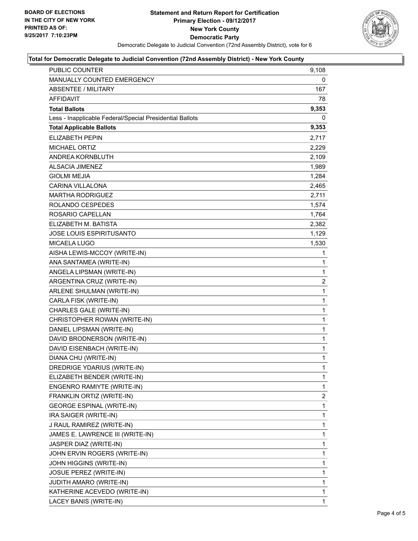

### **Total for Democratic Delegate to Judicial Convention (72nd Assembly District) - New York County**

| PUBLIC COUNTER                                           | 9,108          |
|----------------------------------------------------------|----------------|
| MANUALLY COUNTED EMERGENCY                               | 0              |
| <b>ABSENTEE / MILITARY</b>                               | 167            |
| AFFIDAVIT                                                | 78             |
| <b>Total Ballots</b>                                     | 9,353          |
| Less - Inapplicable Federal/Special Presidential Ballots | 0              |
| <b>Total Applicable Ballots</b>                          | 9,353          |
| <b>ELIZABETH PEPIN</b>                                   | 2,717          |
| <b>MICHAEL ORTIZ</b>                                     | 2,229          |
| ANDREA KORNBLUTH                                         | 2,109          |
| <b>ALSACIA JIMENEZ</b>                                   | 1,989          |
| <b>GIOLMI MEJIA</b>                                      | 1,284          |
| CARINA VILLALONA                                         | 2,465          |
| <b>MARTHA RODRIGUEZ</b>                                  | 2,711          |
| ROLANDO CESPEDES                                         | 1,574          |
| ROSARIO CAPELLAN                                         | 1,764          |
| ELIZABETH M. BATISTA                                     | 2,382          |
| JOSE LOUIS ESPIRITUSANTO                                 | 1,129          |
| MICAELA LUGO                                             | 1,530          |
| AISHA LEWIS-MCCOY (WRITE-IN)                             | 1              |
| ANA SANTAMEA (WRITE-IN)                                  | 1              |
| ANGELA LIPSMAN (WRITE-IN)                                | $\mathbf{1}$   |
| ARGENTINA CRUZ (WRITE-IN)                                | $\overline{c}$ |
| ARLENE SHULMAN (WRITE-IN)                                | 1              |
| CARLA FISK (WRITE-IN)                                    | $\mathbf 1$    |
| CHARLES GALE (WRITE-IN)                                  | $\mathbf{1}$   |
| CHRISTOPHER ROWAN (WRITE-IN)                             | 1              |
| DANIEL LIPSMAN (WRITE-IN)                                | $\mathbf{1}$   |
| DAVID BRODNERSON (WRITE-IN)                              | $\mathbf{1}$   |
| DAVID EISENBACH (WRITE-IN)                               | $\mathbf 1$    |
| DIANA CHU (WRITE-IN)                                     | $\mathbf{1}$   |
| DREDRIGE YDARIUS (WRITE-IN)                              | $\mathbf{1}$   |
| ELIZABETH BENDER (WRITE-IN)                              | 1              |
| ENGENRO RAMIYTE (WRITE-IN)                               | 1              |
| FRANKLIN ORTIZ (WRITE-IN)                                | 2              |
| <b>GEORGE ESPINAL (WRITE-IN)</b>                         | 1              |
| IRA SAIGER (WRITE-IN)                                    | 1              |
| J RAUL RAMIREZ (WRITE-IN)                                | $\mathbf{1}$   |
| JAMES E. LAWRENCE III (WRITE-IN)                         | 1              |
| JASPER DIAZ (WRITE-IN)                                   | 1              |
| JOHN ERVIN ROGERS (WRITE-IN)                             | 1              |
| JOHN HIGGINS (WRITE-IN)                                  | 1              |
| JOSUE PEREZ (WRITE-IN)                                   | 1              |
| <b>JUDITH AMARO (WRITE-IN)</b>                           | $\mathbf{1}$   |
| KATHERINE ACEVEDO (WRITE-IN)                             | 1              |
| LACEY BANIS (WRITE-IN)                                   | 1              |